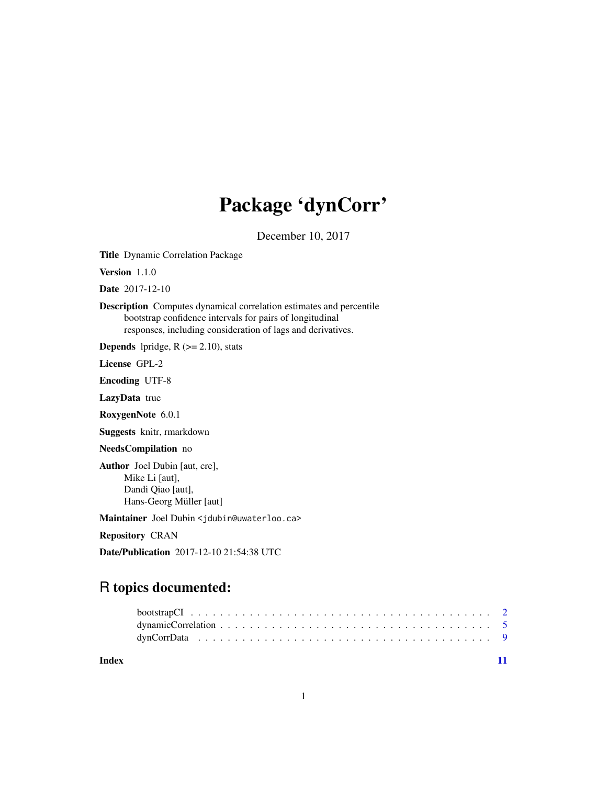## Package 'dynCorr'

December 10, 2017

<span id="page-0-0"></span>Title Dynamic Correlation Package

Version 1.1.0

Date 2017-12-10

Description Computes dynamical correlation estimates and percentile bootstrap confidence intervals for pairs of longitudinal responses, including consideration of lags and derivatives.

**Depends** lpridge,  $R$  ( $>= 2.10$ ), stats

License GPL-2

Encoding UTF-8

LazyData true

RoxygenNote 6.0.1

Suggests knitr, rmarkdown

NeedsCompilation no

Author Joel Dubin [aut, cre], Mike Li [aut], Dandi Qiao [aut], Hans-Georg Müller [aut]

Maintainer Joel Dubin <jdubin@uwaterloo.ca>

Repository CRAN

Date/Publication 2017-12-10 21:54:38 UTC

### R topics documented:

**Index** [11](#page-10-0)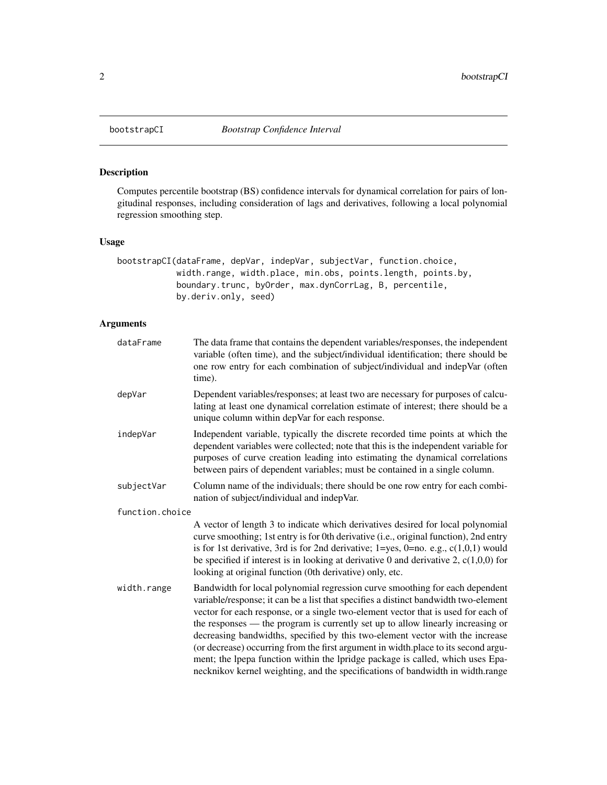<span id="page-1-0"></span>

#### Description

Computes percentile bootstrap (BS) confidence intervals for dynamical correlation for pairs of longitudinal responses, including consideration of lags and derivatives, following a local polynomial regression smoothing step.

#### Usage

bootstrapCI(dataFrame, depVar, indepVar, subjectVar, function.choice, width.range, width.place, min.obs, points.length, points.by, boundary.trunc, byOrder, max.dynCorrLag, B, percentile, by.deriv.only, seed)

#### Arguments

| dataFrame       | The data frame that contains the dependent variables/responses, the independent<br>variable (often time), and the subject/individual identification; there should be<br>one row entry for each combination of subject/individual and indepVar (often<br>time).                                                                                                                                                                                                                                                                                                                                                                                                                         |
|-----------------|----------------------------------------------------------------------------------------------------------------------------------------------------------------------------------------------------------------------------------------------------------------------------------------------------------------------------------------------------------------------------------------------------------------------------------------------------------------------------------------------------------------------------------------------------------------------------------------------------------------------------------------------------------------------------------------|
| depVar          | Dependent variables/responses; at least two are necessary for purposes of calcu-<br>lating at least one dynamical correlation estimate of interest; there should be a<br>unique column within depVar for each response.                                                                                                                                                                                                                                                                                                                                                                                                                                                                |
| indepVar        | Independent variable, typically the discrete recorded time points at which the<br>dependent variables were collected; note that this is the independent variable for<br>purposes of curve creation leading into estimating the dynamical correlations<br>between pairs of dependent variables; must be contained in a single column.                                                                                                                                                                                                                                                                                                                                                   |
| subjectVar      | Column name of the individuals; there should be one row entry for each combi-<br>nation of subject/individual and indepVar.                                                                                                                                                                                                                                                                                                                                                                                                                                                                                                                                                            |
| function.choice |                                                                                                                                                                                                                                                                                                                                                                                                                                                                                                                                                                                                                                                                                        |
|                 | A vector of length 3 to indicate which derivatives desired for local polynomial<br>curve smoothing; 1st entry is for 0th derivative (i.e., original function), 2nd entry<br>is for 1st derivative, 3rd is for 2nd derivative; $1 = yes$ , $0 = no$ . e.g., $c(1,0,1)$ would<br>be specified if interest is in looking at derivative 0 and derivative 2, $c(1,0,0)$ for<br>looking at original function (0th derivative) only, etc.                                                                                                                                                                                                                                                     |
| width.range     | Bandwidth for local polynomial regression curve smoothing for each dependent<br>variable/response; it can be a list that specifies a distinct bandwidth two-element<br>vector for each response, or a single two-element vector that is used for each of<br>the responses — the program is currently set up to allow linearly increasing or<br>decreasing bandwidths, specified by this two-element vector with the increase<br>(or decrease) occurring from the first argument in width.place to its second argu-<br>ment; the lpepa function within the lpridge package is called, which uses Epa-<br>necknikov kernel weighting, and the specifications of bandwidth in width.range |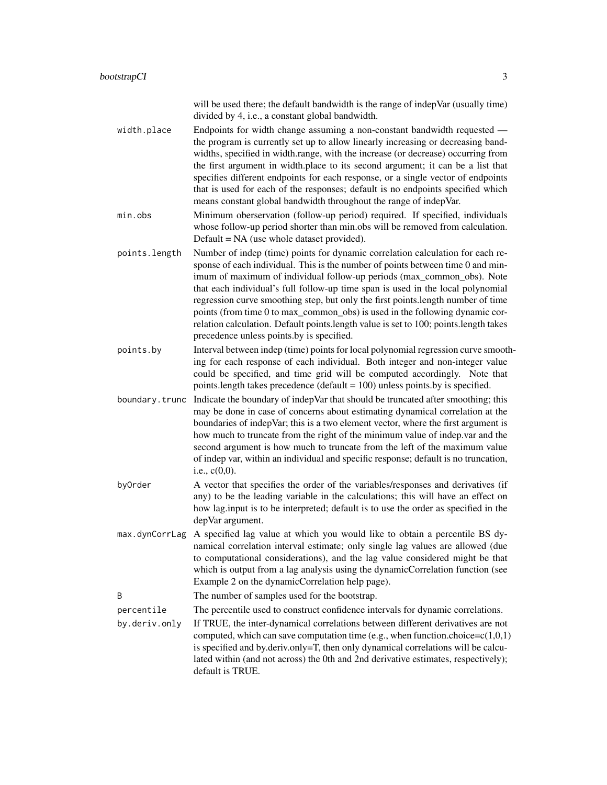will be used there; the default bandwidth is the range of indepVar (usually time) divided by 4, i.e., a constant global bandwidth.

width.place Endpoints for width change assuming a non-constant bandwidth requested the program is currently set up to allow linearly increasing or decreasing bandwidths, specified in width.range, with the increase (or decrease) occurring from the first argument in width.place to its second argument; it can be a list that specifies different endpoints for each response, or a single vector of endpoints that is used for each of the responses; default is no endpoints specified which means constant global bandwidth throughout the range of indepVar.

min.obs Minimum oberservation (follow-up period) required. If specified, individuals whose follow-up period shorter than min.obs will be removed from calculation. Default = NA (use whole dataset provided).

points.length Number of indep (time) points for dynamic correlation calculation for each response of each individual. This is the number of points between time 0 and minimum of maximum of individual follow-up periods (max\_common\_obs). Note that each individual's full follow-up time span is used in the local polynomial regression curve smoothing step, but only the first points.length number of time points (from time 0 to max\_common\_obs) is used in the following dynamic correlation calculation. Default points.length value is set to 100; points.length takes precedence unless points.by is specified.

points.by Interval between indep (time) points for local polynomial regression curve smoothing for each response of each individual. Both integer and non-integer value could be specified, and time grid will be computed accordingly. Note that points.length takes precedence (default = 100) unless points.by is specified.

boundary. trunc Indicate the boundary of indepVar that should be truncated after smoothing; this may be done in case of concerns about estimating dynamical correlation at the boundaries of indepVar; this is a two element vector, where the first argument is how much to truncate from the right of the minimum value of indep.var and the second argument is how much to truncate from the left of the maximum value of indep var, within an individual and specific response; default is no truncation, i.e., c(0,0).

- byOrder A vector that specifies the order of the variables/responses and derivatives (if any) to be the leading variable in the calculations; this will have an effect on how lag.input is to be interpreted; default is to use the order as specified in the depVar argument.
- max.dynCorrLag A specified lag value at which you would like to obtain a percentile BS dynamical correlation interval estimate; only single lag values are allowed (due to computational considerations), and the lag value considered might be that which is output from a lag analysis using the dynamicCorrelation function (see Example 2 on the dynamicCorrelation help page).

B The number of samples used for the bootstrap.

percentile The percentile used to construct confidence intervals for dynamic correlations.

by.deriv.only If TRUE, the inter-dynamical correlations between different derivatives are not computed, which can save computation time (e.g., when function.choice= $c(1,0,1)$ ) is specified and by.deriv.only=T, then only dynamical correlations will be calculated within (and not across) the 0th and 2nd derivative estimates, respectively); default is TRUE.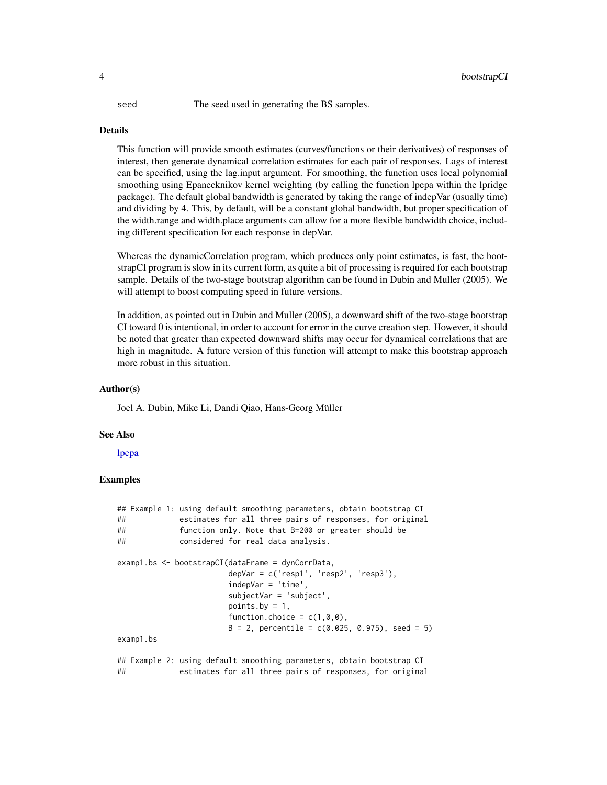<span id="page-3-0"></span>seed The seed used in generating the BS samples.

#### Details

This function will provide smooth estimates (curves/functions or their derivatives) of responses of interest, then generate dynamical correlation estimates for each pair of responses. Lags of interest can be specified, using the lag.input argument. For smoothing, the function uses local polynomial smoothing using Epanecknikov kernel weighting (by calling the function lpepa within the lpridge package). The default global bandwidth is generated by taking the range of indepVar (usually time) and dividing by 4. This, by default, will be a constant global bandwidth, but proper specification of the width.range and width.place arguments can allow for a more flexible bandwidth choice, including different specification for each response in depVar.

Whereas the dynamicCorrelation program, which produces only point estimates, is fast, the bootstrapCI program is slow in its current form, as quite a bit of processing is required for each bootstrap sample. Details of the two-stage bootstrap algorithm can be found in Dubin and Muller (2005). We will attempt to boost computing speed in future versions.

In addition, as pointed out in Dubin and Muller (2005), a downward shift of the two-stage bootstrap CI toward 0 is intentional, in order to account for error in the curve creation step. However, it should be noted that greater than expected downward shifts may occur for dynamical correlations that are high in magnitude. A future version of this function will attempt to make this bootstrap approach more robust in this situation.

#### Author(s)

Joel A. Dubin, Mike Li, Dandi Qiao, Hans-Georg Müller

#### See Also

[lpepa](#page-0-0)

#### Examples

```
## Example 1: using default smoothing parameters, obtain bootstrap CI
## estimates for all three pairs of responses, for original
## function only. Note that B=200 or greater should be
## considered for real data analysis.
examp1.bs <- bootstrapCI(dataFrame = dynCorrData,
                       depVar = c('resp1', 'resp2', 'resp3'),
                       indepVar = 'time',
                       subjectVar = 'subject',
                       points.by = 1,
                       function.choice = c(1,0,0),
                       B = 2, percentile = c(0.025, 0.975), seed = 5)
examp1.bs
## Example 2: using default smoothing parameters, obtain bootstrap CI
## estimates for all three pairs of responses, for original
```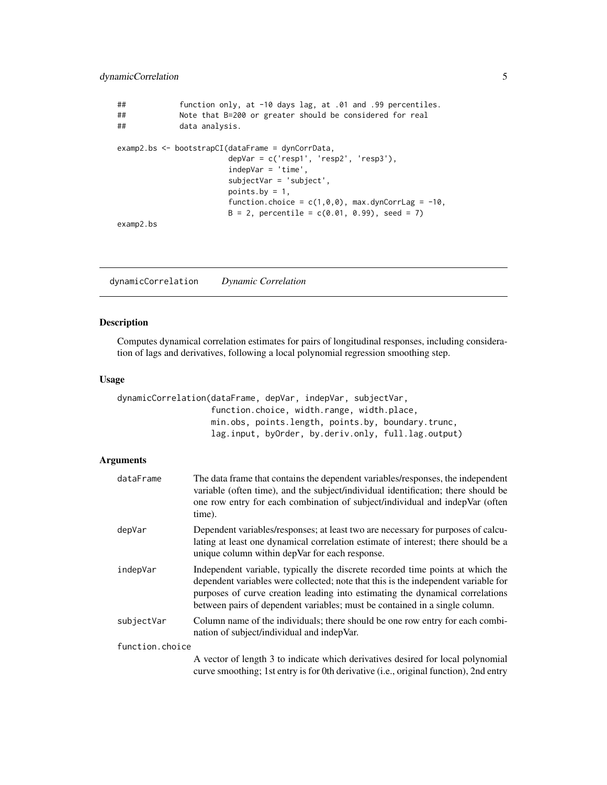```
## function only, at -10 days lag, at .01 and .99 percentiles.
## Note that B=200 or greater should be considered for real
             data analysis.
examp2.bs <- bootstrapCI(dataFrame = dynCorrData,
                       depVar = c('resp1', 'resp2', 'resp3'),
                       indepVar = 'time',
                       subjectVar = 'subject',
                       points.by = 1,
                       function.choice = c(1,0,0), max.dynCorrLag = -10,
                       B = 2, percentile = c(0.01, 0.99), seed = 7)
examp2.bs
```
dynamicCorrelation *Dynamic Correlation*

#### Description

Computes dynamical correlation estimates for pairs of longitudinal responses, including consideration of lags and derivatives, following a local polynomial regression smoothing step.

#### Usage

dynamicCorrelation(dataFrame, depVar, indepVar, subjectVar, function.choice, width.range, width.place, min.obs, points.length, points.by, boundary.trunc, lag.input, byOrder, by.deriv.only, full.lag.output)

#### Arguments

| dataFrame       | The data frame that contains the dependent variables/responses, the independent<br>variable (often time), and the subject/individual identification; there should be<br>one row entry for each combination of subject/individual and indepVar (often<br>time).                                                                       |
|-----------------|--------------------------------------------------------------------------------------------------------------------------------------------------------------------------------------------------------------------------------------------------------------------------------------------------------------------------------------|
| depVar          | Dependent variables/responses; at least two are necessary for purposes of calcu-<br>lating at least one dynamical correlation estimate of interest; there should be a<br>unique column within depVar for each response.                                                                                                              |
| indepVar        | Independent variable, typically the discrete recorded time points at which the<br>dependent variables were collected; note that this is the independent variable for<br>purposes of curve creation leading into estimating the dynamical correlations<br>between pairs of dependent variables; must be contained in a single column. |
| subjectVar      | Column name of the individuals; there should be one row entry for each combi-<br>nation of subject/individual and indepVar.                                                                                                                                                                                                          |
| function.choice |                                                                                                                                                                                                                                                                                                                                      |
|                 | A vector of length 3 to indicate which derivatives desired for local polynomial<br>curve smoothing; 1st entry is for 0th derivative (i.e., original function), 2nd entry                                                                                                                                                             |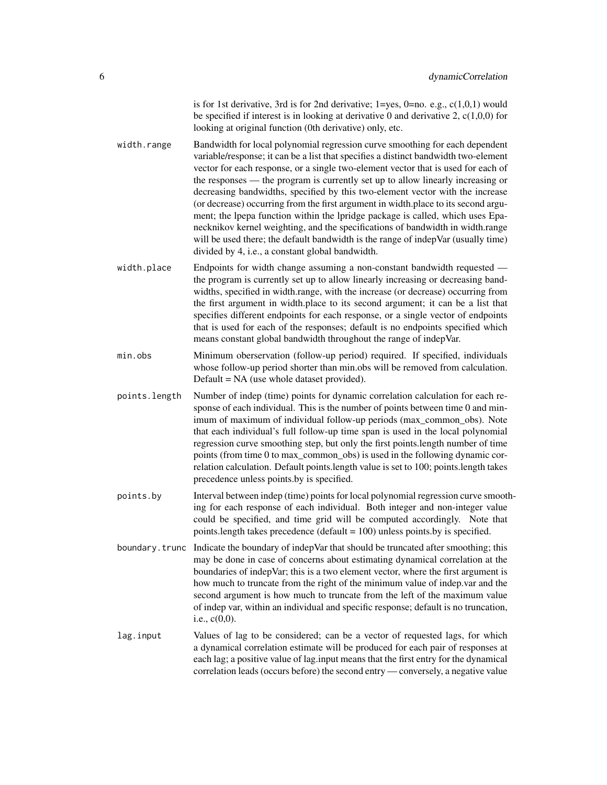is for 1st derivative, 3rd is for 2nd derivative;  $1 = yes$ ,  $0 = no$ . e.g.,  $c(1,0,1)$  would be specified if interest is in looking at derivative 0 and derivative 2,  $c(1,0,0)$  for looking at original function (0th derivative) only, etc.

- width.range Bandwidth for local polynomial regression curve smoothing for each dependent variable/response; it can be a list that specifies a distinct bandwidth two-element vector for each response, or a single two-element vector that is used for each of the responses — the program is currently set up to allow linearly increasing or decreasing bandwidths, specified by this two-element vector with the increase (or decrease) occurring from the first argument in width.place to its second argument; the lpepa function within the lpridge package is called, which uses Epanecknikov kernel weighting, and the specifications of bandwidth in width.range will be used there; the default bandwidth is the range of indepVar (usually time) divided by 4, i.e., a constant global bandwidth.
- width.place Endpoints for width change assuming a non-constant bandwidth requested the program is currently set up to allow linearly increasing or decreasing bandwidths, specified in width.range, with the increase (or decrease) occurring from the first argument in width.place to its second argument; it can be a list that specifies different endpoints for each response, or a single vector of endpoints that is used for each of the responses; default is no endpoints specified which means constant global bandwidth throughout the range of indepVar.
- min.obs Minimum oberservation (follow-up period) required. If specified, individuals whose follow-up period shorter than min.obs will be removed from calculation. Default = NA (use whole dataset provided).
- points.length Number of indep (time) points for dynamic correlation calculation for each response of each individual. This is the number of points between time 0 and minimum of maximum of individual follow-up periods (max\_common\_obs). Note that each individual's full follow-up time span is used in the local polynomial regression curve smoothing step, but only the first points.length number of time points (from time 0 to max\_common\_obs) is used in the following dynamic correlation calculation. Default points.length value is set to 100; points.length takes precedence unless points.by is specified.
- points.by Interval between indep (time) points for local polynomial regression curve smoothing for each response of each individual. Both integer and non-integer value could be specified, and time grid will be computed accordingly. Note that points.length takes precedence (default = 100) unless points.by is specified.
- boundary.trunc Indicate the boundary of indepVar that should be truncated after smoothing; this may be done in case of concerns about estimating dynamical correlation at the boundaries of indepVar; this is a two element vector, where the first argument is how much to truncate from the right of the minimum value of indep.var and the second argument is how much to truncate from the left of the maximum value of indep var, within an individual and specific response; default is no truncation, i.e., c(0,0).
- lag.input Values of lag to be considered; can be a vector of requested lags, for which a dynamical correlation estimate will be produced for each pair of responses at each lag; a positive value of lag.input means that the first entry for the dynamical correlation leads (occurs before) the second entry — conversely, a negative value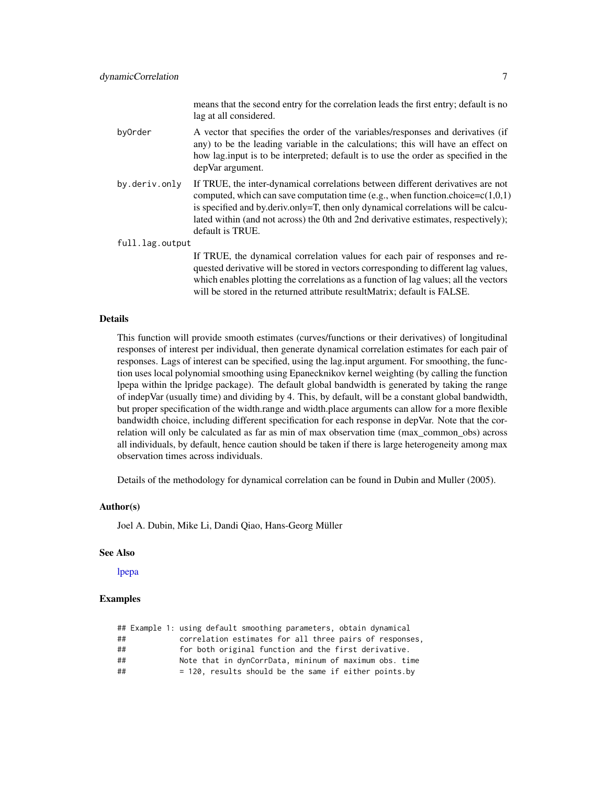means that the second entry for the correlation leads the first entry; default is no lag at all considered.

- <span id="page-6-0"></span>byOrder A vector that specifies the order of the variables/responses and derivatives (if any) to be the leading variable in the calculations; this will have an effect on how lag.input is to be interpreted; default is to use the order as specified in the depVar argument.
- by.deriv.only If TRUE, the inter-dynamical correlations between different derivatives are not computed, which can save computation time (e.g., when function.choice= $c(1,0,1)$ ) is specified and by.deriv.only=T, then only dynamical correlations will be calculated within (and not across) the 0th and 2nd derivative estimates, respectively); default is TRUE.

full.lag.output

If TRUE, the dynamical correlation values for each pair of responses and requested derivative will be stored in vectors corresponding to different lag values, which enables plotting the correlations as a function of lag values; all the vectors will be stored in the returned attribute resultMatrix; default is FALSE.

#### Details

This function will provide smooth estimates (curves/functions or their derivatives) of longitudinal responses of interest per individual, then generate dynamical correlation estimates for each pair of responses. Lags of interest can be specified, using the lag.input argument. For smoothing, the function uses local polynomial smoothing using Epanecknikov kernel weighting (by calling the function lpepa within the lpridge package). The default global bandwidth is generated by taking the range of indepVar (usually time) and dividing by 4. This, by default, will be a constant global bandwidth, but proper specification of the width.range and width.place arguments can allow for a more flexible bandwidth choice, including different specification for each response in depVar. Note that the correlation will only be calculated as far as min of max observation time (max\_common\_obs) across all individuals, by default, hence caution should be taken if there is large heterogeneity among max observation times across individuals.

Details of the methodology for dynamical correlation can be found in Dubin and Muller (2005).

#### Author(s)

Joel A. Dubin, Mike Li, Dandi Qiao, Hans-Georg Müller

#### See Also

[lpepa](#page-0-0)

#### Examples

|    |  | ## Example 1: using default smoothing parameters, obtain dynamical |
|----|--|--------------------------------------------------------------------|
| ## |  | correlation estimates for all three pairs of responses,            |
| ## |  | for both original function and the first derivative.               |
| ## |  | Note that in dynCorrData, mininum of maximum obs. time             |
| ## |  | $= 120$ , results should be the same if either points.by           |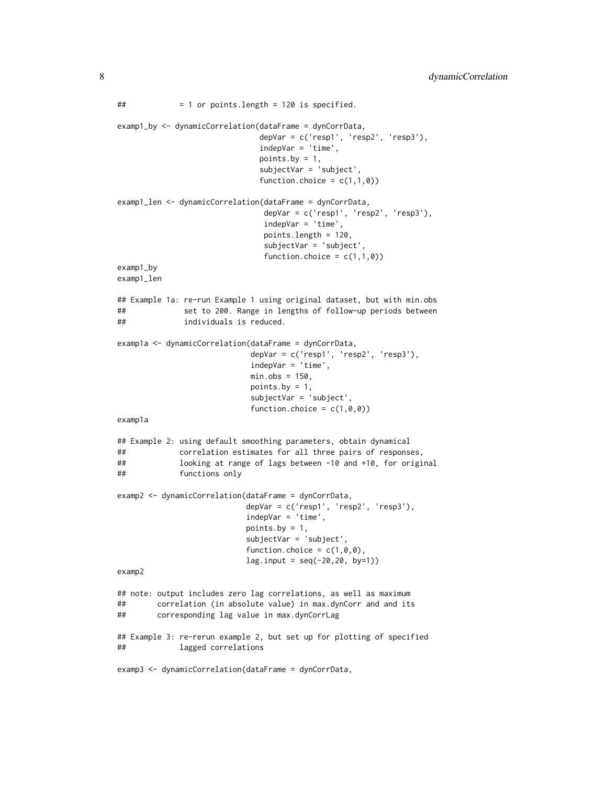```
## = 1 or points.length = 120 is specified.
examp1_by <- dynamicCorrelation(dataFrame = dynCorrData,
                              depVar = c('resp1', 'resp2', 'resp3'),indepVar = 'time',
                              points.by = 1,
                              subjectVar = 'subject',
                              function.choice = c(1,1,0))
examp1_len <- dynamicCorrelation(dataFrame = dynCorrData,
                               depVar = c('resp1', 'resp2', 'resp3'),
                               indepVar = 'time',
                               points.length = 120,
                               subjectVar = 'subject',
                               function.choice = c(1,1,0))
examp1_by
examp1_len
## Example 1a: re-run Example 1 using original dataset, but with min.obs
## set to 200. Range in lengths of follow-up periods between
## individuals is reduced.
examp1a <- dynamicCorrelation(dataFrame = dynCorrData,
                            depVar = c('resp1', 'resp2', 'resp3'),
                            indepVar = 'time',
                            min.obs = 150,points.by = 1,
                            subjectVar = 'subject',
                            function.choice = c(1,0,0))
examp1a
## Example 2: using default smoothing parameters, obtain dynamical
## correlation estimates for all three pairs of responses,
## looking at range of lags between -10 and +10, for original
## functions only
examp2 <- dynamicCorrelation(dataFrame = dynCorrData,
                           depVar = c('resp1', 'resp2', 'resp3'),
                           indepVar = 'time',
                           points.by = 1,
                           subjectVar = 'subject',
                           function.choice = c(1,0,0),
                           lag.input = seq(-20,20, by=1))
examp2
## note: output includes zero lag correlations, as well as maximum
## correlation (in absolute value) in max.dynCorr and and its
## corresponding lag value in max.dynCorrLag
## Example 3: re-rerun example 2, but set up for plotting of specified
## lagged correlations
examp3 <- dynamicCorrelation(dataFrame = dynCorrData,
```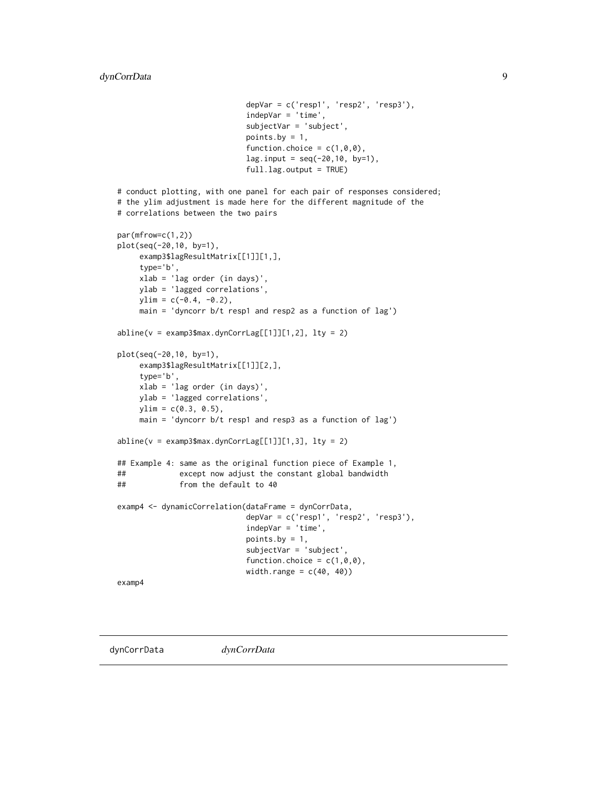```
depVar = c('resp1', 'resp2', 'resp3'),
                            indepVar = 'time',
                            subjectVar = 'subject',
                            points.by = 1,
                            function.choice = c(1,0,0),
                            lag.input = seq(-20, 10, by=1),full.lag.output = TRUE)
# conduct plotting, with one panel for each pair of responses considered;
# the ylim adjustment is made here for the different magnitude of the
# correlations between the two pairs
par(mfrow=c(1,2))
plot(seq(-20,10, by=1),
     examp3$lagResultMatrix[[1]][1,],
     type='b',
    xlab = 'lag order (in days)',
    ylab = 'lagged correlations',
    ylim = c(-0.4, -0.2),
     main = 'dyncorr b/t resp1 and resp2 as a function of lag')
abline(v = examp3$max.dynCorrLag[[1]][1,2], lty = 2)plot(seq(-20,10, by=1),
     examp3$lagResultMatrix[[1]][2,],
     type='b',
     xlab = 'lag order (in days)',
     ylab = 'lagged correlations',
    ylim = c(0.3, 0.5),main = 'dyncorr b/t resp1 and resp3 as a function of lag')
abline(v = e\tan p3\max.dynCorrLag[[1]][1,3], lty = 2)
## Example 4: same as the original function piece of Example 1,
## except now adjust the constant global bandwidth
## from the default to 40
examp4 <- dynamicCorrelation(dataFrame = dynCorrData,
                            depVar = c('resp1', 'resp2', 'resp3'),
                            indepVar = 'time',
                            points.by = 1,
                            subjectVar = 'subject',
                            function.choice = c(1,0,0),
                            width.range = c(40, 40))
examp4
```
dynCorrData *dynCorrData*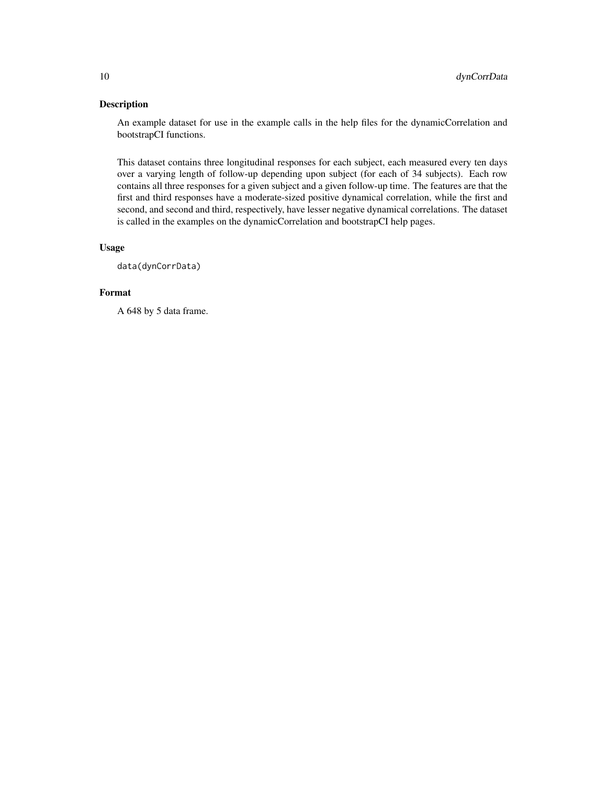#### Description

An example dataset for use in the example calls in the help files for the dynamicCorrelation and bootstrapCI functions.

This dataset contains three longitudinal responses for each subject, each measured every ten days over a varying length of follow-up depending upon subject (for each of 34 subjects). Each row contains all three responses for a given subject and a given follow-up time. The features are that the first and third responses have a moderate-sized positive dynamical correlation, while the first and second, and second and third, respectively, have lesser negative dynamical correlations. The dataset is called in the examples on the dynamicCorrelation and bootstrapCI help pages.

#### Usage

data(dynCorrData)

#### Format

A 648 by 5 data frame.